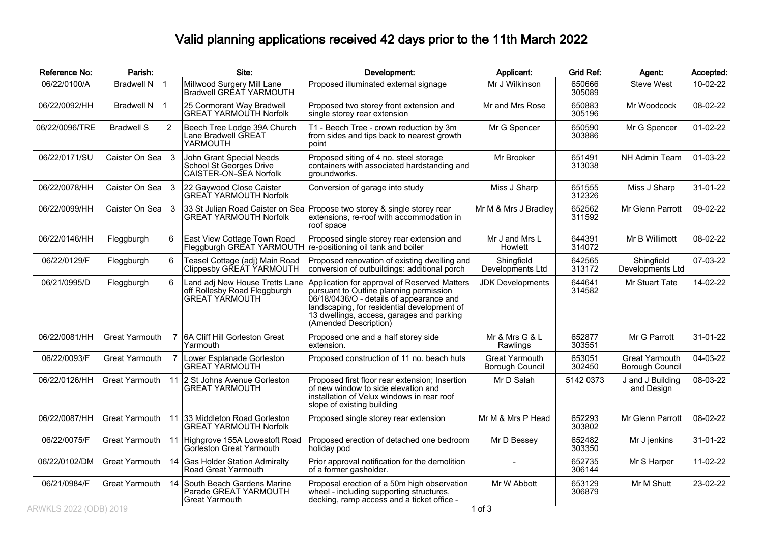## Valid planning applications received 42 days prior to the 11th March 2022

| Reference No:  | Parish:               |                | Site:                                                                                   | Development:                                                                                                                                                                                                                                             | Applicant:                        | <b>Grid Ref:</b> | Agent:                                   | Accepted: |
|----------------|-----------------------|----------------|-----------------------------------------------------------------------------------------|----------------------------------------------------------------------------------------------------------------------------------------------------------------------------------------------------------------------------------------------------------|-----------------------------------|------------------|------------------------------------------|-----------|
| 06/22/0100/A   | Bradwell N 1          |                | Millwood Surgery Mill Lane<br>Bradwell GREAT YARMOUTH                                   | Proposed illuminated external signage                                                                                                                                                                                                                    | Mr J Wilkinson                    | 650666<br>305089 | <b>Steve West</b>                        | 10-02-22  |
| 06/22/0092/HH  | Bradwell N 1          |                | 25 Cormorant Way Bradwell<br><b>GREAT YARMOUTH Norfolk</b>                              | Proposed two storey front extension and<br>single storey rear extension                                                                                                                                                                                  | Mr and Mrs Rose                   | 650883<br>305196 | Mr Woodcock                              | 08-02-22  |
| 06/22/0096/TRE | <b>Bradwell S</b>     | $\overline{2}$ | Beech Tree Lodge 39A Church<br>Lane Bradwell GREAT<br>YARMOUTH                          | T1 - Beech Tree - crown reduction by 3m<br>from sides and tips back to nearest growth<br>point                                                                                                                                                           | Mr G Spencer                      | 650590<br>303886 | Mr G Spencer                             | 01-02-22  |
| 06/22/0171/SU  | Caister On Sea 3      |                | John Grant Special Needs<br>School St Georges Drive<br>CAISTER-ON-SEA Norfolk           | Proposed siting of 4 no. steel storage<br>containers with associated hardstanding and<br>groundworks.                                                                                                                                                    | Mr Brooker                        | 651491<br>313038 | NH Admin Team                            | 01-03-22  |
| 06/22/0078/HH  | Caister On Sea 3      |                | 22 Gaywood Close Caister<br><b>GREAT YARMOUTH Norfolk</b>                               | Conversion of garage into study                                                                                                                                                                                                                          | Miss J Sharp                      | 651555<br>312326 | Miss J Sharp                             | 31-01-22  |
| 06/22/0099/HH  | Caister On Sea 3      |                | 33 St Julian Road Caister on Sea<br><b>GREAT YARMOUTH Norfolk</b>                       | Propose two storey & single storey rear<br>extensions, re-roof with accommodation in<br>roof space                                                                                                                                                       | Mr M & Mrs J Bradley              | 652562<br>311592 | Mr Glenn Parrott                         | 09-02-22  |
| 06/22/0146/HH  | Fleggburgh            | 6              | East View Cottage Town Road<br>Fleggburgh GREAT YARMOUTH                                | Proposed single storey rear extension and<br>re-positioning oil tank and boiler                                                                                                                                                                          | Mr J and Mrs L<br>Howlett         | 644391<br>314072 | Mr B Willimott                           | 08-02-22  |
| 06/22/0129/F   | Fleggburgh            | 6              | Teasel Cottage (adj) Main Road<br>Clippesby GŘEÀT ÝARMOUTH                              | Proposed renovation of existing dwelling and<br>conversion of outbuildings: additional porch                                                                                                                                                             | Shingfield<br>Developments Ltd    | 642565<br>313172 | Shingfield<br>Developments Ltd           | 07-03-22  |
| 06/21/0995/D   | Fleggburgh            | 6              | Land adj New House Tretts Lane<br>off Rollesby Road Fleggburgh<br><b>GREAT YARMOUTH</b> | Application for approval of Reserved Matters<br>pursuant to Outline planning permission<br>06/18/0436/O - details of appearance and<br>landscaping, for residential development of<br>13 dwellings, access, garages and parking<br>(Amended Description) | <b>JDK Developments</b>           | 644641<br>314582 | Mr Stuart Tate                           | 14-02-22  |
| 06/22/0081/HH  | <b>Great Yarmouth</b> | $\overline{7}$ | 6A Cliff Hill Gorleston Great<br>Yarmouth                                               | Proposed one and a half storey side<br>extension.                                                                                                                                                                                                        | Mr & Mrs G & L<br>Rawlings        | 652877<br>303551 | Mr G Parrott                             | 31-01-22  |
| 06/22/0093/F   | <b>Great Yarmouth</b> | $\overline{7}$ | Lower Esplanade Gorleston<br><b>GREAT YARMOUTH</b>                                      | Proposed construction of 11 no. beach huts                                                                                                                                                                                                               | Great Yarmouth<br>Borough Council | 653051<br>302450 | <b>Great Yarmouth</b><br>Borough Council | 04-03-22  |
| 06/22/0126/HH  | <b>Great Yarmouth</b> |                | 11 2 St Johns Avenue Gorleston<br>GREAT YARMOUTH                                        | Proposed first floor rear extension; Insertion<br>of new window to side elevation and<br>installation of Velux windows in rear roof<br>slope of existing building                                                                                        | Mr D Salah                        | 5142 0373        | J and J Building<br>and Design           | 08-03-22  |
| 06/22/0087/HH  | <b>Great Yarmouth</b> | 11             | 133 Middleton Road Gorleston<br><b>GREAT YARMOUTH Norfolk</b>                           | Proposed single storey rear extension                                                                                                                                                                                                                    | Mr M & Mrs P Head                 | 652293<br>303802 | Mr Glenn Parrott                         | 08-02-22  |
| 06/22/0075/F   | Great Yarmouth        | 11             | Highgrove 155A Lowestoft Road<br>Gorleston Great Yarmouth                               | Proposed erection of detached one bedroom<br>holiday pod                                                                                                                                                                                                 | Mr D Bessey                       | 652482<br>303350 | Mr J jenkins                             | 31-01-22  |
| 06/22/0102/DM  | Great Yarmouth        | 14             | <b>Gas Holder Station Admiralty</b><br>Road Great Yarmouth                              | Prior approval notification for the demolition<br>of a former gasholder.                                                                                                                                                                                 |                                   | 652735<br>306144 | Mr S Harper                              | 11-02-22  |
| 06/21/0984/F   | Great Yarmouth 14     |                | South Beach Gardens Marine<br>Parade GREAT YARMOUTH<br><b>Great Yarmouth</b>            | Proposal erection of a 50m high observation<br>wheel - including supporting structures,<br>decking, ramp access and a ticket office -                                                                                                                    | Mr W Abbott                       | 653129<br>306879 | Mr M Shutt                               | 23-02-22  |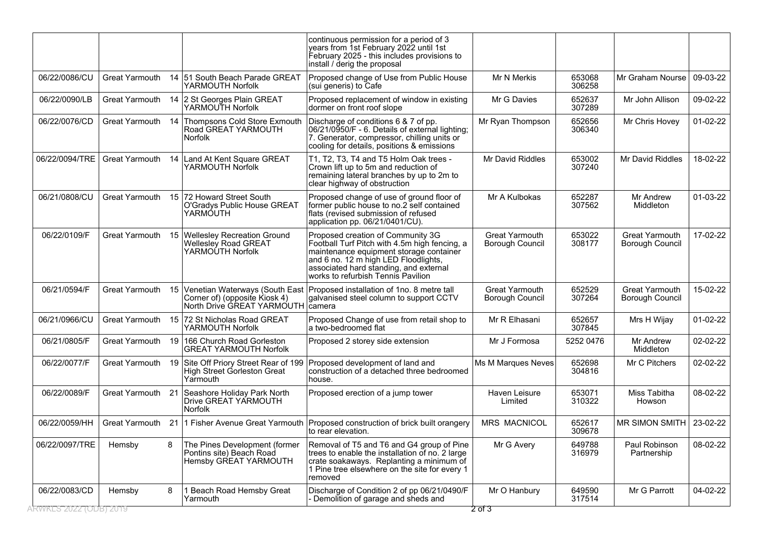| RWKLS 2022 (ODB) 2019           |                       |        | Yarmouth                                                                                                        | Demolition of garage and sheds and                                                                                                                                                                                                                    | 2 of 3                                          | 317514                     |                                              |                      |
|---------------------------------|-----------------------|--------|-----------------------------------------------------------------------------------------------------------------|-------------------------------------------------------------------------------------------------------------------------------------------------------------------------------------------------------------------------------------------------------|-------------------------------------------------|----------------------------|----------------------------------------------|----------------------|
| 06/22/0097/TRE<br>06/22/0083/CD | Hemsby<br>Hemsby      | 8<br>8 | The Pines Development (former<br>Pontins site) Beach Road<br>Hemsby GREAT YARMOUTH<br>1 Beach Road Hemsby Great | Removal of T5 and T6 and G4 group of Pine<br>trees to enable the installation of no. 2 large<br>crate soakaways. Replanting a minimum of<br>1 Pine tree elsewhere on the site for every 1<br>removed<br>Discharge of Condition 2 of pp 06/21/0490/F   | Mr G Avery<br>Mr O Hanbury                      | 649788<br>316979<br>649590 | Paul Robinson<br>Partnership<br>Mr G Parrott | 08-02-22<br>04-02-22 |
| 06/22/0059/HH                   | Great Yarmouth        |        | 21 1 Fisher Avenue Great Yarmouth                                                                               | Proposed construction of brick built orangery<br>to rear elevation.                                                                                                                                                                                   | <b>MRS MACNICOL</b>                             | 652617<br>309678           | <b>MR SIMON SMITH</b>                        | 23-02-22             |
| 06/22/0089/F                    | Great Yarmouth 21     |        | Seashore Holiday Park North<br>Drive GREAT YARMOUTH<br>Norfolk                                                  | Proposed erection of a jump tower                                                                                                                                                                                                                     | Haven Leisure<br>Limited                        | 653071<br>310322           | Miss Tabitha<br>Howson                       | 08-02-22             |
| 06/22/0077/F                    | Great Yarmouth        | 19     | Site Off Priory Street Rear of 199<br>High Street Gorleston Great<br>Yarmouth                                   | Proposed development of land and<br>construction of a detached three bedroomed<br>house.                                                                                                                                                              | Ms M Marques Neves                              | 652698<br>304816           | Mr C Pitchers                                | 02-02-22             |
| 06/21/0805/F                    | Great Yarmouth        | 19     | 166 Church Road Gorleston<br><b>GREAT YARMOUTH Norfolk</b>                                                      | Proposed 2 storey side extension                                                                                                                                                                                                                      | Mr J Formosa                                    | 5252 0476                  | Mr Andrew<br>Middleton                       | $02 - 02 - 22$       |
| 06/21/0966/CU                   | Great Yarmouth        |        | 15 72 St Nicholas Road GREAT<br>YARMOUTH Norfolk                                                                | Proposed Change of use from retail shop to<br>a two-bedroomed flat                                                                                                                                                                                    | Mr R Elhasani                                   | 652657<br>307845           | Mrs H Wijay                                  | $01-02-22$           |
| 06/21/0594/F                    | Great Yarmouth        | 15     | Venetian Waterways (South East<br>Corner of) (opposite Kiosk 4)<br>North Drive GREAT YARMOUTH                   | Proposed installation of 1no. 8 metre tall<br>galvanised steel column to support CCTV<br>camera                                                                                                                                                       | <b>Great Yarmouth</b><br>Borough Council        | 652529<br>307264           | <b>Great Yarmouth</b><br>Borough Council     | 15-02-22             |
| 06/22/0109/F                    | <b>Great Yarmouth</b> |        | 15 Wellesley Recreation Ground<br><b>Wellesley Road GREAT</b><br>YARMOÚTH Norfolk                               | Proposed creation of Community 3G<br>Football Turf Pitch with 4.5m high fencing, a<br>maintenance equipment storage container<br>and 6 no. 12 m high LED Floodlights,<br>associated hard standing, and external<br>works to refurbish Tennis Pavilion | <b>Great Yarmouth</b><br><b>Borough Council</b> | 653022<br>308177           | <b>Great Yarmouth</b><br>Borough Council     | 17-02-22             |
| 06/21/0808/CU                   | <b>Great Yarmouth</b> |        | 15 72 Howard Street South<br>O'Gradys Public House GREAT<br>YARMÓUTH                                            | Proposed change of use of ground floor of<br>former public house to no.2 self contained<br>flats (revised submission of refused<br>application pp. 06/21/0401/CU).                                                                                    | Mr A Kulbokas                                   | 652287<br>307562           | <b>Mr Andrew</b><br>Middleton                | 01-03-22             |
| 06/22/0094/TRE                  | Great Yarmouth        | 14     | Land At Kent Square GREAT<br>YARMOUTH Norfolk                                                                   | T1, T2, T3, T4 and T5 Holm Oak trees -<br>Crown lift up to 5m and reduction of<br>remaining lateral branches by up to 2m to<br>clear highway of obstruction                                                                                           | Mr David Riddles                                | 653002<br>307240           | Mr David Riddles                             | 18-02-22             |
| 06/22/0076/CD                   | Great Yarmouth        | 14     | Thompsons Cold Store Exmouth<br>Road GREAT YARMOUTH<br><b>Norfolk</b>                                           | Discharge of conditions 6 & 7 of pp.<br>06/21/0950/F - 6. Details of external lighting;<br>7. Generator, compressor, chilling units or<br>cooling for details, positions & emissions                                                                  | Mr Ryan Thompson                                | 652656<br>306340           | Mr Chris Hovey                               | $01-02-22$           |
| 06/22/0090/LB                   | <b>Great Yarmouth</b> |        | 14 2 St Georges Plain GREAT<br>YARMOUTH Norfolk                                                                 | Proposed replacement of window in existing<br>dormer on front roof slope                                                                                                                                                                              | Mr G Davies                                     | 652637<br>307289           | Mr John Allison                              | 09-02-22             |
| 06/22/0086/CU                   | <b>Great Yarmouth</b> |        | 14 51 South Beach Parade GREAT<br>YARMOUTH Norfolk                                                              | Proposed change of Use from Public House<br>(sui generis) to Cafe                                                                                                                                                                                     | Mr N Merkis                                     | 653068<br>306258           | Mr Graham Nourse                             | 09-03-22             |
|                                 |                       |        |                                                                                                                 | continuous permission for a period of 3<br>years from 1st February 2022 until 1st<br>February 2025 - this includes provisions to<br>install / derig the proposal                                                                                      |                                                 |                            |                                              |                      |